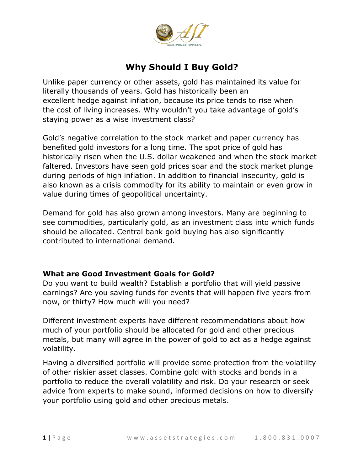

## **Why Should I Buy Gold?**

Unlike paper currency or other assets, gold has maintained its value for literally thousands of years. Gold has historically been an excellent hedge against inflation, because its price tends to rise when the cost of living increases. Why wouldn't you take advantage of gold's staying power as a wise investment class?

Gold's negative correlation to the stock market and paper currency has benefited gold investors for a long time. The spot price of gold has historically risen when the U.S. dollar weakened and when the stock market faltered. Investors have seen gold prices soar and the stock market plunge during periods of high inflation. In addition to financial insecurity, gold is also known as a crisis commodity for its ability to maintain or even grow in value during times of geopolitical uncertainty.

Demand for gold has also grown among investors. Many are beginning to see commodities, particularly gold, as an investment class into which funds should be allocated. Central bank gold buying has also significantly contributed to international demand.

## **What are Good Investment Goals for Gold?**

Do you want to build wealth? Establish a portfolio that will yield passive earnings? Are you saving funds for events that will happen five years from now, or thirty? How much will you need?

Different investment experts have different recommendations about how much of your portfolio should be allocated for gold and other precious metals, but many will agree in the power of gold to act as a hedge against volatility.

Having a diversified portfolio will provide some protection from the volatility of other riskier asset classes. Combine gold with stocks and bonds in a portfolio to reduce the overall volatility and risk. Do your research or seek advice from experts to make sound, informed decisions on how to diversify your portfolio using gold and other precious metals.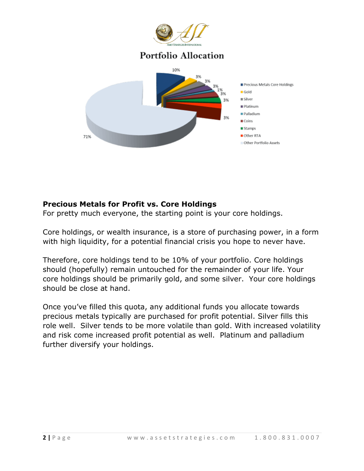

## **Precious Metals for Profit vs. Core Holdings**

For pretty much everyone, the starting point is your core holdings.

Core holdings, or wealth insurance, is a store of purchasing power, in a form with high liquidity, for a potential financial crisis you hope to never have.

Therefore, core holdings tend to be 10% of your portfolio. Core holdings should (hopefully) remain untouched for the remainder of your life. Your core holdings should be primarily gold, and some silver. Your core holdings should be close at hand.

Once you've filled this quota, any additional funds you allocate towards precious metals typically are purchased for profit potential. Silver fills this role well. Silver tends to be more volatile than gold. With increased volatility and risk come increased profit potential as well. Platinum and palladium further diversify your holdings.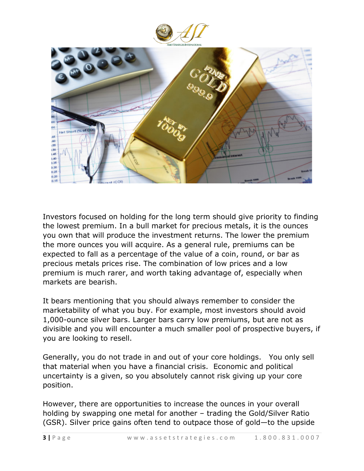



Investors focused on holding for the long term should give priority to finding the lowest premium. In a bull market for precious metals, it is the ounces you own that will produce the investment returns. The lower the premium the more ounces you will acquire. As a general rule, premiums can be expected to fall as a percentage of the value of a coin, round, or bar as precious metals prices rise. The combination of low prices and a low premium is much rarer, and worth taking advantage of, especially when markets are bearish.

It bears mentioning that you should always remember to consider the marketability of what you buy. For example, most investors should avoid 1,000-ounce silver bars. Larger bars carry low premiums, but are not as divisible and you will encounter a much smaller pool of prospective buyers, if you are looking to resell.

Generally, you do not trade in and out of your core holdings. You only sell that material when you have a financial crisis. Economic and political uncertainty is a given, so you absolutely cannot risk giving up your core position.

However, there are opportunities to increase the ounces in your overall holding by swapping one metal for another – trading the Gold/Silver Ratio (GSR). Silver price gains often tend to outpace those of gold—to the upside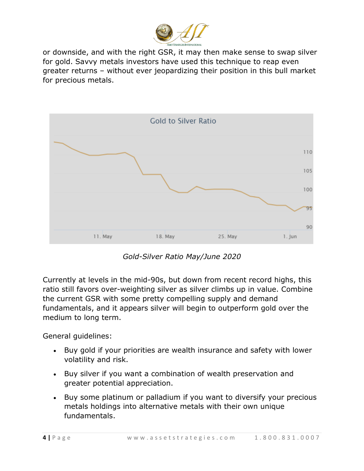

or downside, and with the right GSR, it may then make sense to swap silver for gold. Savvy metals investors have used this technique to reap even greater returns – without ever jeopardizing their position in this bull market for precious metals.



*Gold-Silver Ratio May/June 2020*

Currently at levels in the mid-90s, but down from recent record highs, this ratio still favors over-weighting silver as silver climbs up in value. Combine the current GSR with some pretty compelling supply and demand fundamentals, and it appears silver will begin to outperform gold over the medium to long term.

General guidelines:

- Buy gold if your priorities are wealth insurance and safety with lower volatility and risk.
- Buy silver if you want a combination of wealth preservation and greater potential appreciation.
- Buy some platinum or palladium if you want to diversify your precious metals holdings into alternative metals with their own unique fundamentals.